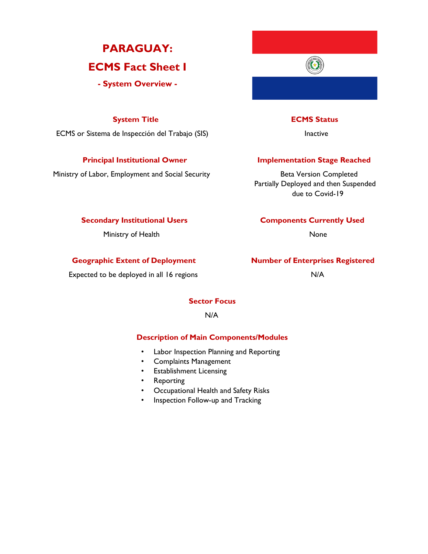# **PARAGUAY: ECMS Fact Sheet I**

**- System Overview -**

## **System Title ECMS Status**

ECMS or Sistema de Inspección del Trabajo (SIS) inactive la Inactive

Ministry of Labor, Employment and Social Security **Beta Version Completed** 

## **Principal Institutional Owner Stage Reached**

Partially Deployed and then Suspended due to Covid-19

#### **Secondary Institutional Users Components Currently Used**

Ministry of Health None

### **Geographic Extent of Deployment Number of Enterprises Registered**

Expected to be deployed in all 16 regions Theorem 2012 1999 N/A

### **Sector Focus**

### N/A

### **Description of Main Components/Modules**

- Labor Inspection Planning and Reporting
- Complaints Management
- Establishment Licensing
- Reporting
- Occupational Health and Safety Risks
- Inspection Follow-up and Tracking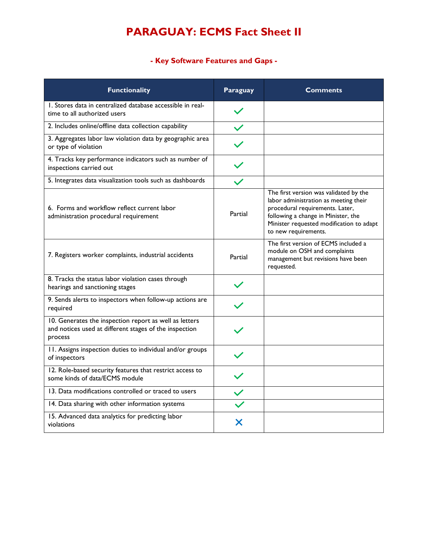# **PARAGUAY: ECMS Fact Sheet II**

**- Key Software Features and Gaps -**

| <b>Functionality</b>                                                                                                        | Paraguay | <b>Comments</b>                                                                                                                                                                                                               |
|-----------------------------------------------------------------------------------------------------------------------------|----------|-------------------------------------------------------------------------------------------------------------------------------------------------------------------------------------------------------------------------------|
| 1. Stores data in centralized database accessible in real-<br>time to all authorized users                                  |          |                                                                                                                                                                                                                               |
| 2. Includes online/offline data collection capability                                                                       |          |                                                                                                                                                                                                                               |
| 3. Aggregates labor law violation data by geographic area<br>or type of violation                                           |          |                                                                                                                                                                                                                               |
| 4. Tracks key performance indicators such as number of<br>inspections carried out                                           |          |                                                                                                                                                                                                                               |
| 5. Integrates data visualization tools such as dashboards                                                                   |          |                                                                                                                                                                                                                               |
| 6. Forms and workflow reflect current labor<br>administration procedural requirement                                        | Partial  | The first version was validated by the<br>labor administration as meeting their<br>procedural requirements. Later,<br>following a change in Minister, the<br>Minister requested modification to adapt<br>to new requirements. |
| 7. Registers worker complaints, industrial accidents                                                                        | Partial  | The first version of ECMS included a<br>module on OSH and complaints<br>management but revisions have been<br>requested.                                                                                                      |
| 8. Tracks the status labor violation cases through<br>hearings and sanctioning stages                                       |          |                                                                                                                                                                                                                               |
| 9. Sends alerts to inspectors when follow-up actions are<br>required                                                        |          |                                                                                                                                                                                                                               |
| 10. Generates the inspection report as well as letters<br>and notices used at different stages of the inspection<br>process |          |                                                                                                                                                                                                                               |
| 11. Assigns inspection duties to individual and/or groups<br>of inspectors                                                  |          |                                                                                                                                                                                                                               |
| 12. Role-based security features that restrict access to<br>some kinds of data/ECMS module                                  |          |                                                                                                                                                                                                                               |
| 13. Data modifications controlled or traced to users                                                                        |          |                                                                                                                                                                                                                               |
| 14. Data sharing with other information systems                                                                             |          |                                                                                                                                                                                                                               |
| 15. Advanced data analytics for predicting labor<br>violations                                                              | Х        |                                                                                                                                                                                                                               |